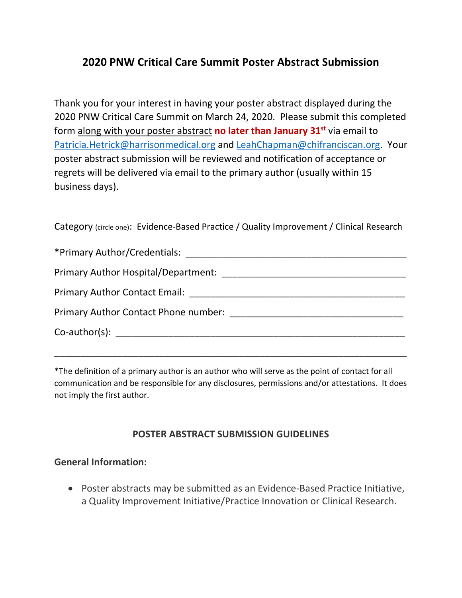# **2020 PNW Critical Care Summit Poster Abstract Submission**

Thank you for your interest in having your poster abstract displayed during the 2020 PNW Critical Care Summit on March 24, 2020. Please submit this completed form along with your poster abstract **no later than January 31st** via email to [Patricia.Hetrick@harrisonmedical.org](mailto:Patricia.Hetrick@harrisonmedical.org) and LeahChapman@chifranciscan.org. Your poster abstract submission will be reviewed and notification of acceptance or regrets will be delivered via email to the primary author (usually within 15 business days).

Category (circle one): Evidence-Based Practice / Quality Improvement / Clinical Research

| *Primary Author/Credentials:                                                                                                                                                                                                   |
|--------------------------------------------------------------------------------------------------------------------------------------------------------------------------------------------------------------------------------|
| Primary Author Hospital/Department: National Author: National Author: National Author: National Author: National Author: National Author: National Author: National Author: National Author: National Author: National Author: |
|                                                                                                                                                                                                                                |
|                                                                                                                                                                                                                                |
| $Co$ -author(s): $\qquad \qquad$                                                                                                                                                                                               |
|                                                                                                                                                                                                                                |

\*The definition of a primary author is an author who will serve as the point of contact for all communication and be responsible for any disclosures, permissions and/or attestations. It does not imply the first author.

\_\_\_\_\_\_\_\_\_\_\_\_\_\_\_\_\_\_\_\_\_\_\_\_\_\_\_\_\_\_\_\_\_\_\_\_\_\_\_\_\_\_\_\_\_\_\_\_\_\_\_\_\_\_\_\_\_\_\_\_\_\_\_\_\_\_\_

#### **POSTER ABSTRACT SUBMISSION GUIDELINES**

#### **General Information:**

• Poster abstracts may be submitted as an Evidence-Based Practice Initiative, a Quality Improvement Initiative/Practice Innovation or Clinical Research.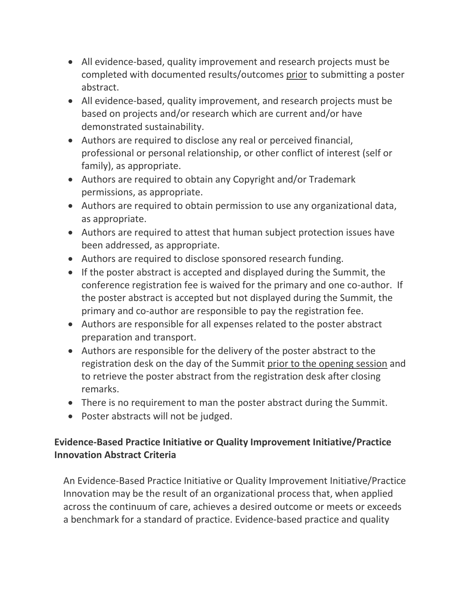- All evidence-based, quality improvement and research projects must be completed with documented results/outcomes prior to submitting a poster abstract.
- All evidence-based, quality improvement, and research projects must be based on projects and/or research which are current and/or have demonstrated sustainability.
- Authors are required to disclose any real or perceived financial, professional or personal relationship, or other conflict of interest (self or family), as appropriate.
- Authors are required to obtain any Copyright and/or Trademark permissions, as appropriate.
- Authors are required to obtain permission to use any organizational data, as appropriate.
- Authors are required to attest that human subject protection issues have been addressed, as appropriate.
- Authors are required to disclose sponsored research funding.
- If the poster abstract is accepted and displayed during the Summit, the conference registration fee is waived for the primary and one co-author. If the poster abstract is accepted but not displayed during the Summit, the primary and co-author are responsible to pay the registration fee.
- Authors are responsible for all expenses related to the poster abstract preparation and transport.
- Authors are responsible for the delivery of the poster abstract to the registration desk on the day of the Summit prior to the opening session and to retrieve the poster abstract from the registration desk after closing remarks.
- There is no requirement to man the poster abstract during the Summit.
- Poster abstracts will not be judged.

### **Evidence-Based Practice Initiative or Quality Improvement Initiative/Practice Innovation Abstract Criteria**

An Evidence-Based Practice Initiative or Quality Improvement Initiative/Practice Innovation may be the result of an organizational process that, when applied across the continuum of care, achieves a desired outcome or meets or exceeds a benchmark for a standard of practice. Evidence-based practice and quality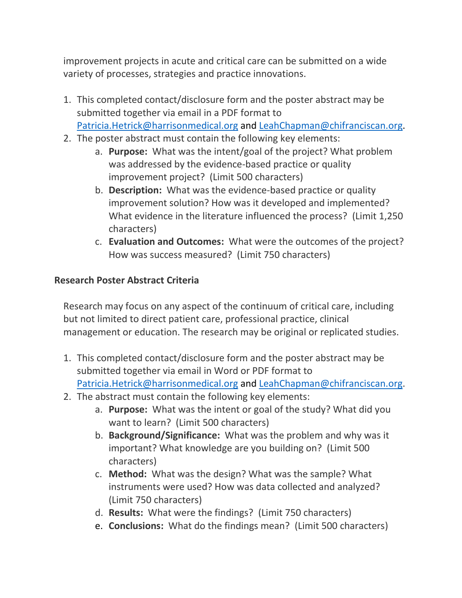improvement projects in acute and critical care can be submitted on a wide variety of processes, strategies and practice innovations.

- 1. This completed contact/disclosure form and the poster abstract may be submitted together via email in a PDF format to [Patricia.Hetrick@harrisonmedical.org](mailto:Patricia.Hetrick@harrisonmedical.org) and LeahChapman@chifranciscan.org.
- 2. The poster abstract must contain the following key elements:
	- a. **Purpose:** What was the intent/goal of the project? What problem was addressed by the evidence-based practice or quality improvement project? (Limit 500 characters)
	- b. **Description:** What was the evidence-based practice or quality improvement solution? How was it developed and implemented? What evidence in the literature influenced the process? (Limit 1,250 characters)
	- c. **Evaluation and Outcomes:** What were the outcomes of the project? How was success measured? (Limit 750 characters)

### **Research Poster Abstract Criteria**

Research may focus on any aspect of the continuum of critical care, including but not limited to direct patient care, professional practice, clinical management or education. The research may be original or replicated studies.

- 1. This completed contact/disclosure form and the poster abstract may be submitted together via email in Word or PDF format to [Patricia.Hetrick@harrisonmedical.org](mailto:Patricia.Hetrick@harrisonmedical.org) and LeahChapman@chifranciscan.org.
- 2. The abstract must contain the following key elements:
	- a. **Purpose:** What was the intent or goal of the study? What did you want to learn? (Limit 500 characters)
	- b. **Background/Significance:** What was the problem and why was it important? What knowledge are you building on? (Limit 500 characters)
	- c. **Method:** What was the design? What was the sample? What instruments were used? How was data collected and analyzed? (Limit 750 characters)
	- d. **Results:** What were the findings? (Limit 750 characters)
	- e. **Conclusions:** What do the findings mean? (Limit 500 characters)